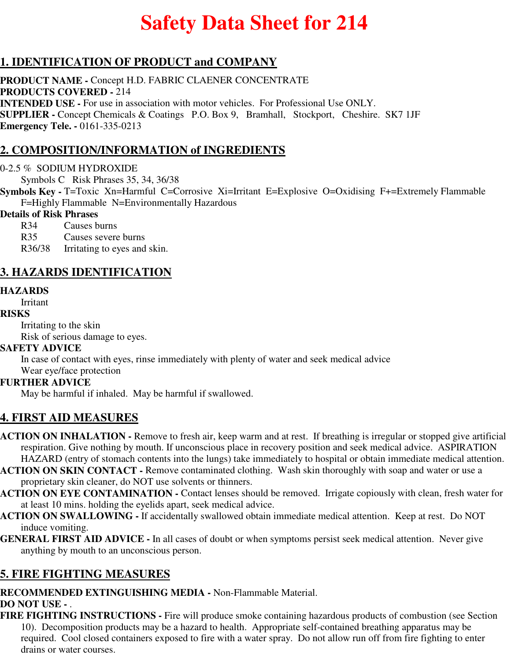# **Safety Data Sheet for 214**

# **1. IDENTIFICATION OF PRODUCT and COMPANY**

**PRODUCT NAME -** Concept H.D. FABRIC CLAENER CONCENTRATE **PRODUCTS COVERED -** 214 **INTENDED USE -** For use in association with motor vehicles. For Professional Use ONLY. **SUPPLIER -** Concept Chemicals & Coatings P.O. Box 9, Bramhall, Stockport, Cheshire. SK7 1JF **Emergency Tele. -** 0161-335-0213

# **2. COMPOSITION/INFORMATION of INGREDIENTS**

### 0-2.5 % SODIUM HYDROXIDE

Symbols C Risk Phrases 35, 34, 36/38

**Symbols Key -** T=Toxic Xn=Harmful C=Corrosive Xi=Irritant E=Explosive O=Oxidising F+=Extremely Flammable F=Highly Flammable N=Environmentally Hazardous

### **Details of Risk Phrases**

R34 Causes burns

R35 Causes severe burns

R36/38 Irritating to eyes and skin.

## **3. HAZARDS IDENTIFICATION**

### **HAZARDS**

Irritant

### **RISKS**

Irritating to the skin

Risk of serious damage to eyes.

### **SAFETY ADVICE**

In case of contact with eyes, rinse immediately with plenty of water and seek medical advice

### Wear eye/face protection

### **FURTHER ADVICE**

May be harmful if inhaled. May be harmful if swallowed.

## **4. FIRST AID MEASURES**

- **ACTION ON INHALATION** Remove to fresh air, keep warm and at rest. If breathing is irregular or stopped give artificial respiration. Give nothing by mouth. If unconscious place in recovery position and seek medical advice. ASPIRATION HAZARD (entry of stomach contents into the lungs) take immediately to hospital or obtain immediate medical attention.
- **ACTION ON SKIN CONTACT** Remove contaminated clothing. Wash skin thoroughly with soap and water or use a proprietary skin cleaner, do NOT use solvents or thinners.
- **ACTION ON EYE CONTAMINATION** Contact lenses should be removed. Irrigate copiously with clean, fresh water for at least 10 mins. holding the eyelids apart, seek medical advice.
- **ACTION ON SWALLOWING** If accidentally swallowed obtain immediate medical attention. Keep at rest. Do NOT induce vomiting.
- **GENERAL FIRST AID ADVICE** In all cases of doubt or when symptoms persist seek medical attention. Never give anything by mouth to an unconscious person.

## **5. FIRE FIGHTING MEASURES**

**RECOMMENDED EXTINGUISHING MEDIA -** Non-Flammable Material. **DO NOT USE -** .

**FIRE FIGHTING INSTRUCTIONS -** Fire will produce smoke containing hazardous products of combustion (see Section 10). Decomposition products may be a hazard to health. Appropriate self-contained breathing apparatus may be required. Cool closed containers exposed to fire with a water spray. Do not allow run off from fire fighting to enter drains or water courses.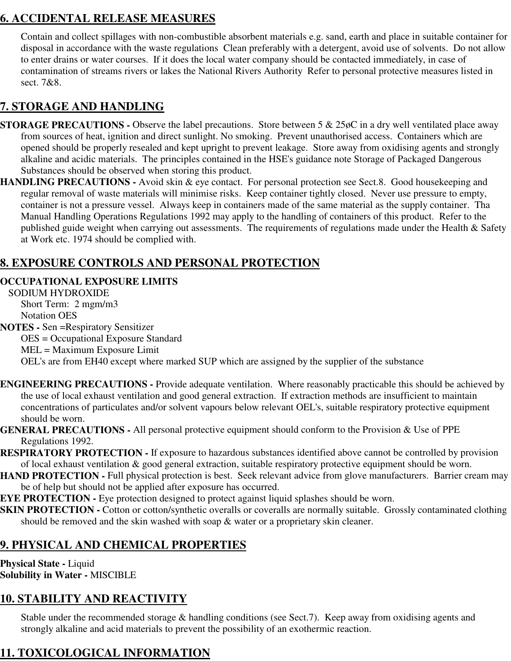# **6. ACCIDENTAL RELEASE MEASURES**

Contain and collect spillages with non-combustible absorbent materials e.g. sand, earth and place in suitable container for disposal in accordance with the waste regulations Clean preferably with a detergent, avoid use of solvents. Do not allow to enter drains or water courses. If it does the local water company should be contacted immediately, in case of contamination of streams rivers or lakes the National Rivers Authority Refer to personal protective measures listed in sect. 7&8.

# **7. STORAGE AND HANDLING**

- **STORAGE PRECAUTIONS -** Observe the label precautions. Store between 5 & 25øC in a dry well ventilated place away from sources of heat, ignition and direct sunlight. No smoking. Prevent unauthorised access. Containers which are opened should be properly resealed and kept upright to prevent leakage. Store away from oxidising agents and strongly alkaline and acidic materials. The principles contained in the HSE's guidance note Storage of Packaged Dangerous Substances should be observed when storing this product.
- **HANDLING PRECAUTIONS** Avoid skin & eye contact. For personal protection see Sect.8. Good housekeeping and regular removal of waste materials will minimise risks. Keep container tightly closed. Never use pressure to empty, container is not a pressure vessel. Always keep in containers made of the same material as the supply container. Tha Manual Handling Operations Regulations 1992 may apply to the handling of containers of this product. Refer to the published guide weight when carrying out assessments. The requirements of regulations made under the Health & Safety at Work etc. 1974 should be complied with.

# **8. EXPOSURE CONTROLS AND PERSONAL PROTECTION**

### **OCCUPATIONAL EXPOSURE LIMITS**

SODIUM HYDROXIDE Short Term: 2 mgm/m3 Notation OES **NOTES -** Sen =Respiratory Sensitizer OES = Occupational Exposure Standard MEL = Maximum Exposure Limit OEL's are from EH40 except where marked SUP which are assigned by the supplier of the substance

- **ENGINEERING PRECAUTIONS** Provide adequate ventilation. Where reasonably practicable this should be achieved by the use of local exhaust ventilation and good general extraction. If extraction methods are insufficient to maintain concentrations of particulates and/or solvent vapours below relevant OEL's, suitable respiratory protective equipment should be worn.
- **GENERAL PRECAUTIONS** All personal protective equipment should conform to the Provision & Use of PPE Regulations 1992.
- **RESPIRATORY PROTECTION** If exposure to hazardous substances identified above cannot be controlled by provision of local exhaust ventilation & good general extraction, suitable respiratory protective equipment should be worn.
- **HAND PROTECTION Full physical protection is best. Seek relevant advice from glove manufacturers. Barrier cream may** be of help but should not be applied after exposure has occurred.

**EYE PROTECTION -** Eye protection designed to protect against liquid splashes should be worn.

**SKIN PROTECTION -** Cotton or cotton/synthetic overalls or coveralls are normally suitable. Grossly contaminated clothing should be removed and the skin washed with soap & water or a proprietary skin cleaner.

# **9. PHYSICAL AND CHEMICAL PROPERTIES**

**Physical State -** Liquid **Solubility in Water -** MISCIBLE

# **10. STABILITY AND REACTIVITY**

Stable under the recommended storage & handling conditions (see Sect.7). Keep away from oxidising agents and strongly alkaline and acid materials to prevent the possibility of an exothermic reaction.

# **11. TOXICOLOGICAL INFORMATION**